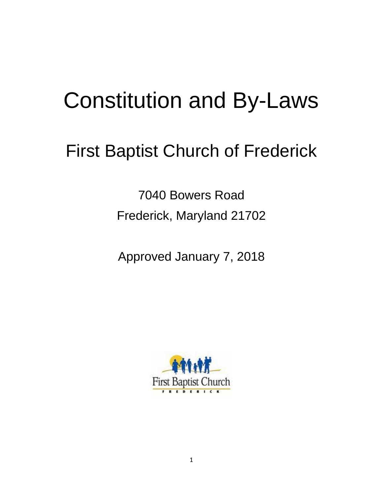# Constitution and By-Laws

# First Baptist Church of Frederick

7040 Bowers Road Frederick, Maryland 21702

Approved January 7, 2018

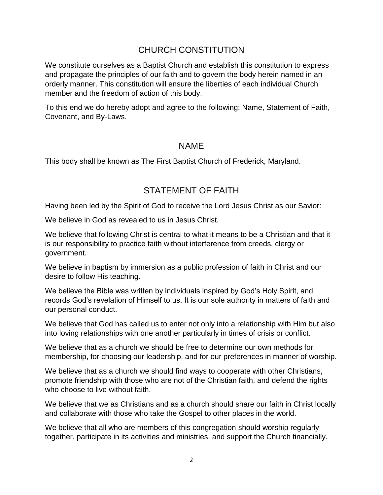## CHURCH CONSTITUTION

We constitute ourselves as a Baptist Church and establish this constitution to express and propagate the principles of our faith and to govern the body herein named in an orderly manner. This constitution will ensure the liberties of each individual Church member and the freedom of action of this body.

To this end we do hereby adopt and agree to the following: Name, Statement of Faith, Covenant, and By-Laws.

#### NAME

This body shall be known as The First Baptist Church of Frederick, Maryland.

# STATEMENT OF FAITH

Having been led by the Spirit of God to receive the Lord Jesus Christ as our Savior:

We believe in God as revealed to us in Jesus Christ.

We believe that following Christ is central to what it means to be a Christian and that it is our responsibility to practice faith without interference from creeds, clergy or government.

We believe in baptism by immersion as a public profession of faith in Christ and our desire to follow His teaching.

We believe the Bible was written by individuals inspired by God's Holy Spirit, and records God's revelation of Himself to us. It is our sole authority in matters of faith and our personal conduct.

We believe that God has called us to enter not only into a relationship with Him but also into loving relationships with one another particularly in times of crisis or conflict.

We believe that as a church we should be free to determine our own methods for membership, for choosing our leadership, and for our preferences in manner of worship.

We believe that as a church we should find ways to cooperate with other Christians, promote friendship with those who are not of the Christian faith, and defend the rights who choose to live without faith.

We believe that we as Christians and as a church should share our faith in Christ locally and collaborate with those who take the Gospel to other places in the world.

We believe that all who are members of this congregation should worship regularly together, participate in its activities and ministries, and support the Church financially.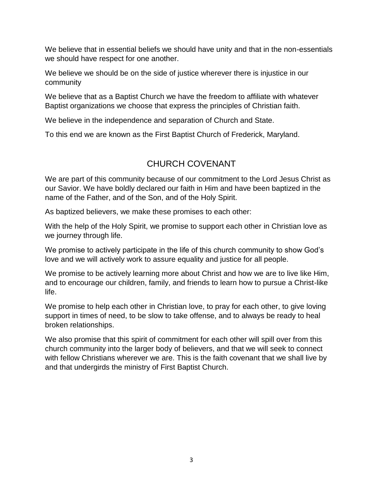We believe that in essential beliefs we should have unity and that in the non-essentials we should have respect for one another.

We believe we should be on the side of justice wherever there is injustice in our community

We believe that as a Baptist Church we have the freedom to affiliate with whatever Baptist organizations we choose that express the principles of Christian faith.

We believe in the independence and separation of Church and State.

To this end we are known as the First Baptist Church of Frederick, Maryland.

# CHURCH COVENANT

We are part of this community because of our commitment to the Lord Jesus Christ as our Savior. We have boldly declared our faith in Him and have been baptized in the name of the Father, and of the Son, and of the Holy Spirit.

As baptized believers, we make these promises to each other:

With the help of the Holy Spirit, we promise to support each other in Christian love as we journey through life.

We promise to actively participate in the life of this church community to show God's love and we will actively work to assure equality and justice for all people.

We promise to be actively learning more about Christ and how we are to live like Him, and to encourage our children, family, and friends to learn how to pursue a Christ-like life.

We promise to help each other in Christian love, to pray for each other, to give loving support in times of need, to be slow to take offense, and to always be ready to heal broken relationships.

We also promise that this spirit of commitment for each other will spill over from this church community into the larger body of believers, and that we will seek to connect with fellow Christians wherever we are. This is the faith covenant that we shall live by and that undergirds the ministry of First Baptist Church.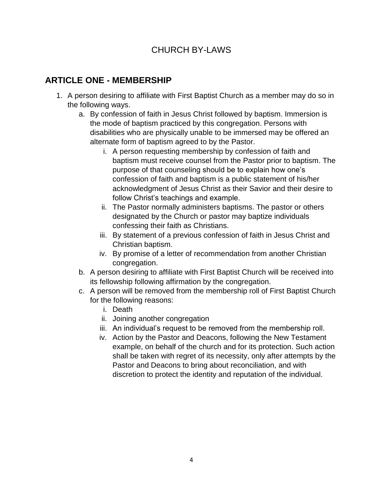# CHURCH BY-LAWS

# **ARTICLE ONE - MEMBERSHIP**

- 1. A person desiring to affiliate with First Baptist Church as a member may do so in the following ways.
	- a. By confession of faith in Jesus Christ followed by baptism. Immersion is the mode of baptism practiced by this congregation. Persons with disabilities who are physically unable to be immersed may be offered an alternate form of baptism agreed to by the Pastor.
		- i. A person requesting membership by confession of faith and baptism must receive counsel from the Pastor prior to baptism. The purpose of that counseling should be to explain how one's confession of faith and baptism is a public statement of his/her acknowledgment of Jesus Christ as their Savior and their desire to follow Christ's teachings and example.
		- ii. The Pastor normally administers baptisms. The pastor or others designated by the Church or pastor may baptize individuals confessing their faith as Christians.
		- iii. By statement of a previous confession of faith in Jesus Christ and Christian baptism.
		- iv. By promise of a letter of recommendation from another Christian congregation.
	- b. A person desiring to affiliate with First Baptist Church will be received into its fellowship following affirmation by the congregation.
	- c. A person will be removed from the membership roll of First Baptist Church for the following reasons:
		- i. Death
		- ii. Joining another congregation
		- iii. An individual's request to be removed from the membership roll.
		- iv. Action by the Pastor and Deacons, following the New Testament example, on behalf of the church and for its protection. Such action shall be taken with regret of its necessity, only after attempts by the Pastor and Deacons to bring about reconciliation, and with discretion to protect the identity and reputation of the individual.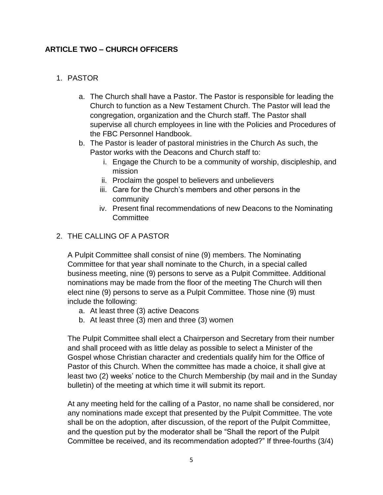#### **ARTICLE TWO – CHURCH OFFICERS**

#### 1. PASTOR

- a. The Church shall have a Pastor. The Pastor is responsible for leading the Church to function as a New Testament Church. The Pastor will lead the congregation, organization and the Church staff. The Pastor shall supervise all church employees in line with the Policies and Procedures of the FBC Personnel Handbook.
- b. The Pastor is leader of pastoral ministries in the Church As such, the Pastor works with the Deacons and Church staff to:
	- i. Engage the Church to be a community of worship, discipleship, and mission
	- ii. Proclaim the gospel to believers and unbelievers
	- iii. Care for the Church's members and other persons in the community
	- iv. Present final recommendations of new Deacons to the Nominating **Committee**

#### 2. THE CALLING OF A PASTOR

A Pulpit Committee shall consist of nine (9) members. The Nominating Committee for that year shall nominate to the Church, in a special called business meeting, nine (9) persons to serve as a Pulpit Committee. Additional nominations may be made from the floor of the meeting The Church will then elect nine (9) persons to serve as a Pulpit Committee. Those nine (9) must include the following:

- a. At least three (3) active Deacons
- b. At least three (3) men and three (3) women

The Pulpit Committee shall elect a Chairperson and Secretary from their number and shall proceed with as little delay as possible to select a Minister of the Gospel whose Christian character and credentials qualify him for the Office of Pastor of this Church. When the committee has made a choice, it shall give at least two (2) weeks' notice to the Church Membership (by mail and in the Sunday bulletin) of the meeting at which time it will submit its report.

At any meeting held for the calling of a Pastor, no name shall be considered, nor any nominations made except that presented by the Pulpit Committee. The vote shall be on the adoption, after discussion, of the report of the Pulpit Committee, and the question put by the moderator shall be "Shall the report of the Pulpit Committee be received, and its recommendation adopted?" If three-fourths (3/4)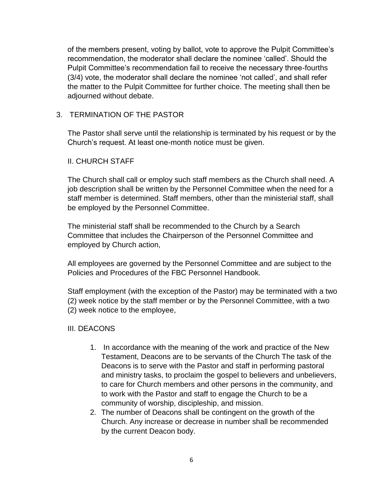of the members present, voting by ballot, vote to approve the Pulpit Committee's recommendation, the moderator shall declare the nominee 'called'. Should the Pulpit Committee's recommendation fail to receive the necessary three-fourths (3/4) vote, the moderator shall declare the nominee 'not called', and shall refer the matter to the Pulpit Committee for further choice. The meeting shall then be adjourned without debate.

#### 3. TERMINATION OF THE PASTOR

The Pastor shall serve until the relationship is terminated by his request or by the Church's request. At least one-month notice must be given.

#### II. CHURCH STAFF

The Church shall call or employ such staff members as the Church shall need. A job description shall be written by the Personnel Committee when the need for a staff member is determined. Staff members, other than the ministerial staff, shall be employed by the Personnel Committee.

The ministerial staff shall be recommended to the Church by a Search Committee that includes the Chairperson of the Personnel Committee and employed by Church action,

All employees are governed by the Personnel Committee and are subject to the Policies and Procedures of the FBC Personnel Handbook.

Staff employment (with the exception of the Pastor) may be terminated with a two (2) week notice by the staff member or by the Personnel Committee, with a two (2) week notice to the employee,

#### III. DEACONS

- 1. In accordance with the meaning of the work and practice of the New Testament, Deacons are to be servants of the Church The task of the Deacons is to serve with the Pastor and staff in performing pastoral and ministry tasks, to proclaim the gospel to believers and unbelievers, to care for Church members and other persons in the community, and to work with the Pastor and staff to engage the Church to be a community of worship, discipleship, and mission.
- 2. The number of Deacons shall be contingent on the growth of the Church. Any increase or decrease in number shall be recommended by the current Deacon body.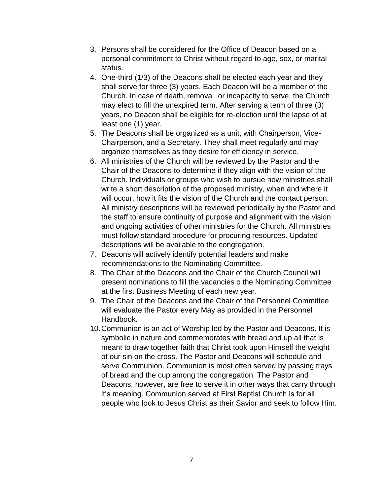- 3. Persons shall be considered for the Office of Deacon based on a personal commitment to Christ without regard to age, sex, or marital status.
- 4. One-third (1/3) of the Deacons shall be elected each year and they shall serve for three (3) years. Each Deacon will be a member of the Church. In case of death, removal, or incapacity to serve, the Church may elect to fill the unexpired term. After serving a term of three (3) years, no Deacon shall be eligible for re-election until the lapse of at least one (1) year.
- 5. The Deacons shall be organized as a unit, with Chairperson, Vice-Chairperson, and a Secretary. They shall meet regularly and may organize themselves as they desire for efficiency in service.
- 6. All ministries of the Church will be reviewed by the Pastor and the Chair of the Deacons to determine if they align with the vision of the Church. Individuals or groups who wish to pursue new ministries shall write a short description of the proposed ministry, when and where it will occur, how it fits the vision of the Church and the contact person. All ministry descriptions will be reviewed periodically by the Pastor and the staff to ensure continuity of purpose and alignment with the vision and ongoing activities of other ministries for the Church. All ministries must follow standard procedure for procuring resources. Updated descriptions will be available to the congregation.
- 7. Deacons will actively identify potential leaders and make recommendations to the Nominating Committee.
- 8. The Chair of the Deacons and the Chair of the Church Council will present nominations to fill the vacancies o the Nominating Committee at the first Business Meeting of each new year.
- 9. The Chair of the Deacons and the Chair of the Personnel Committee will evaluate the Pastor every May as provided in the Personnel Handbook.
- 10.Communion is an act of Worship led by the Pastor and Deacons. It is symbolic in nature and commemorates with bread and up all that is meant to draw together faith that Christ took upon Himself the weight of our sin on the cross. The Pastor and Deacons will schedule and serve Communion. Communion is most often served by passing trays of bread and the cup among the congregation. The Pastor and Deacons, however, are free to serve it in other ways that carry through it's meaning. Communion served at First Baptist Church is for all people who look to Jesus Christ as their Savior and seek to follow Him.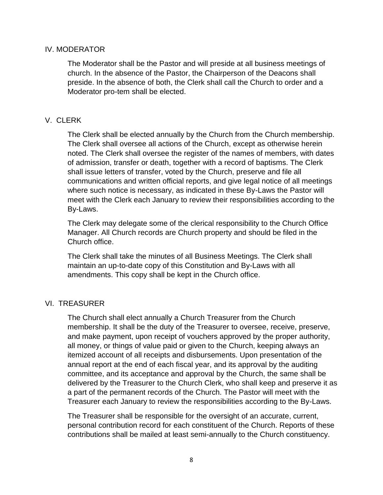#### IV. MODERATOR

The Moderator shall be the Pastor and will preside at all business meetings of church. In the absence of the Pastor, the Chairperson of the Deacons shall preside. In the absence of both, the Clerk shall call the Church to order and a Moderator pro-tem shall be elected.

#### V. CLERK

The Clerk shall be elected annually by the Church from the Church membership. The Clerk shall oversee all actions of the Church, except as otherwise herein noted. The Clerk shall oversee the register of the names of members, with dates of admission, transfer or death, together with a record of baptisms. The Clerk shall issue letters of transfer, voted by the Church, preserve and file all communications and written official reports, and give legal notice of all meetings where such notice is necessary, as indicated in these By-Laws the Pastor will meet with the Clerk each January to review their responsibilities according to the By-Laws.

The Clerk may delegate some of the clerical responsibility to the Church Office Manager. All Church records are Church property and should be filed in the Church office.

The Clerk shall take the minutes of all Business Meetings. The Clerk shall maintain an up-to-date copy of this Constitution and By-Laws with all amendments. This copy shall be kept in the Church office.

#### VI. TREASURER

The Church shall elect annually a Church Treasurer from the Church membership. It shall be the duty of the Treasurer to oversee, receive, preserve, and make payment, upon receipt of vouchers approved by the proper authority, all money, or things of value paid or given to the Church, keeping always an itemized account of all receipts and disbursements. Upon presentation of the annual report at the end of each fiscal year, and its approval by the auditing committee, and its acceptance and approval by the Church, the same shall be delivered by the Treasurer to the Church Clerk, who shall keep and preserve it as a part of the permanent records of the Church. The Pastor will meet with the Treasurer each January to review the responsibilities according to the By-Laws.

The Treasurer shall be responsible for the oversight of an accurate, current, personal contribution record for each constituent of the Church. Reports of these contributions shall be mailed at least semi-annually to the Church constituency.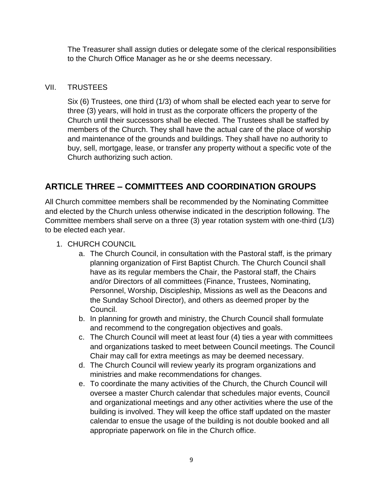The Treasurer shall assign duties or delegate some of the clerical responsibilities to the Church Office Manager as he or she deems necessary.

#### VII. TRUSTEES

Six (6) Trustees, one third (1/3) of whom shall be elected each year to serve for three (3) years, will hold in trust as the corporate officers the property of the Church until their successors shall be elected. The Trustees shall be staffed by members of the Church. They shall have the actual care of the place of worship and maintenance of the grounds and buildings. They shall have no authority to buy, sell, mortgage, lease, or transfer any property without a specific vote of the Church authorizing such action.

# **ARTICLE THREE – COMMITTEES AND COORDINATION GROUPS**

All Church committee members shall be recommended by the Nominating Committee and elected by the Church unless otherwise indicated in the description following. The Committee members shall serve on a three (3) year rotation system with one-third (1/3) to be elected each year.

- 1. CHURCH COUNCIL
	- a. The Church Council, in consultation with the Pastoral staff, is the primary planning organization of First Baptist Church. The Church Council shall have as its regular members the Chair, the Pastoral staff, the Chairs and/or Directors of all committees (Finance, Trustees, Nominating, Personnel, Worship, Discipleship, Missions as well as the Deacons and the Sunday School Director), and others as deemed proper by the Council.
	- b. In planning for growth and ministry, the Church Council shall formulate and recommend to the congregation objectives and goals.
	- c. The Church Council will meet at least four (4) ties a year with committees and organizations tasked to meet between Council meetings. The Council Chair may call for extra meetings as may be deemed necessary.
	- d. The Church Council will review yearly its program organizations and ministries and make recommendations for changes.
	- e. To coordinate the many activities of the Church, the Church Council will oversee a master Church calendar that schedules major events, Council and organizational meetings and any other activities where the use of the building is involved. They will keep the office staff updated on the master calendar to ensue the usage of the building is not double booked and all appropriate paperwork on file in the Church office.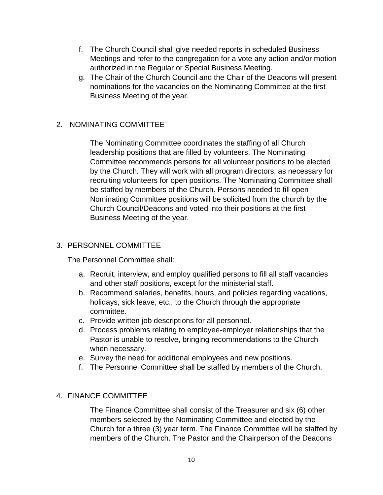- f. The Church Council shall give needed reports in scheduled Business Meetings and refer to the congregation for a vote any action and/or motion authorized in the Regular or Special Business Meeting.
- g. The Chair of the Church Council and the Chair of the Deacons will present nominations for the vacancies on the Nominating Committee at the first Business Meeting of the year.

#### 2. NOMINATING COMMITTEE

The Nominating Committee coordinates the staffing of all Church leadership positions that are filled by volunteers. The Nominating Committee recommends persons for all volunteer positions to be elected by the Church. They will work with all program directors, as necessary for recruiting volunteers for open positions. The Nominating Committee shall be staffed by members of the Church. Persons needed to fill open Nominating Committee positions will be solicited from the church by the Church Council/Deacons and voted into their positions at the first Business Meeting of the year.

#### 3. PERSONNEL COMMITTEE

The Personnel Committee shall:

- a. Recruit, interview, and employ qualified persons to fill all staff vacancies and other staff positions, except for the ministerial staff.
- b. Recommend salaries, benefits, hours, and policies regarding vacations, holidays, sick leave, etc., to the Church through the appropriate committee.
- c. Provide written job descriptions for all personnel.
- d. Process problems relating to employee-employer relationships that the Pastor is unable to resolve, bringing recommendations to the Church when necessary.
- e. Survey the need for additional employees and new positions.
- f. The Personnel Committee shall be staffed by members of the Church.

#### 4. FINANCE COMMITTEE

The Finance Committee shall consist of the Treasurer and six (6) other members selected by the Nominating Committee and elected by the Church for a three (3) year term. The Finance Committee will be staffed by members of the Church. The Pastor and the Chairperson of the Deacons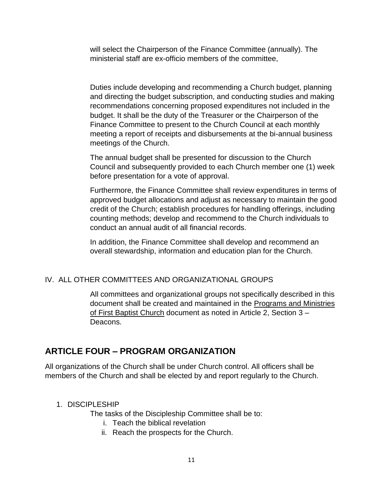will select the Chairperson of the Finance Committee (annually). The ministerial staff are ex-officio members of the committee,

Duties include developing and recommending a Church budget, planning and directing the budget subscription, and conducting studies and making recommendations concerning proposed expenditures not included in the budget. It shall be the duty of the Treasurer or the Chairperson of the Finance Committee to present to the Church Council at each monthly meeting a report of receipts and disbursements at the bi-annual business meetings of the Church.

The annual budget shall be presented for discussion to the Church Council and subsequently provided to each Church member one (1) week before presentation for a vote of approval.

Furthermore, the Finance Committee shall review expenditures in terms of approved budget allocations and adjust as necessary to maintain the good credit of the Church; establish procedures for handling offerings, including counting methods; develop and recommend to the Church individuals to conduct an annual audit of all financial records.

In addition, the Finance Committee shall develop and recommend an overall stewardship, information and education plan for the Church.

#### IV. ALL OTHER COMMITTEES AND ORGANIZATIONAL GROUPS

All committees and organizational groups not specifically described in this document shall be created and maintained in the Programs and Ministries of First Baptist Church document as noted in Article 2, Section 3 – Deacons.

# **ARTICLE FOUR – PROGRAM ORGANIZATION**

All organizations of the Church shall be under Church control. All officers shall be members of the Church and shall be elected by and report regularly to the Church.

#### 1. DISCIPLESHIP

The tasks of the Discipleship Committee shall be to:

- i. Teach the biblical revelation
- ii. Reach the prospects for the Church.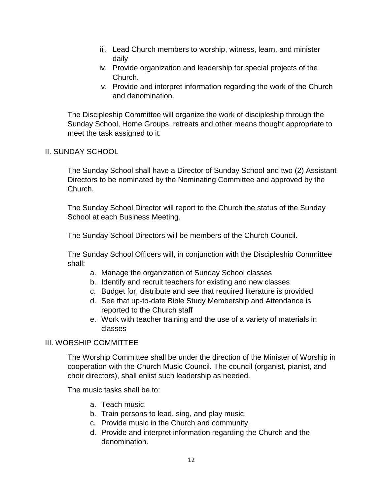- iii. Lead Church members to worship, witness, learn, and minister daily
- iv. Provide organization and leadership for special projects of the Church.
- v. Provide and interpret information regarding the work of the Church and denomination.

The Discipleship Committee will organize the work of discipleship through the Sunday School, Home Groups, retreats and other means thought appropriate to meet the task assigned to it.

#### II. SUNDAY SCHOOL

The Sunday School shall have a Director of Sunday School and two (2) Assistant Directors to be nominated by the Nominating Committee and approved by the Church.

The Sunday School Director will report to the Church the status of the Sunday School at each Business Meeting.

The Sunday School Directors will be members of the Church Council.

The Sunday School Officers will, in conjunction with the Discipleship Committee shall:

- a. Manage the organization of Sunday School classes
- b. Identify and recruit teachers for existing and new classes
- c. Budget for, distribute and see that required literature is provided
- d. See that up-to-date Bible Study Membership and Attendance is reported to the Church staff
- e. Work with teacher training and the use of a variety of materials in classes

#### III. WORSHIP COMMITTEE

The Worship Committee shall be under the direction of the Minister of Worship in cooperation with the Church Music Council. The council (organist, pianist, and choir directors), shall enlist such leadership as needed.

The music tasks shall be to:

- a. Teach music.
- b. Train persons to lead, sing, and play music.
- c. Provide music in the Church and community.
- d. Provide and interpret information regarding the Church and the denomination.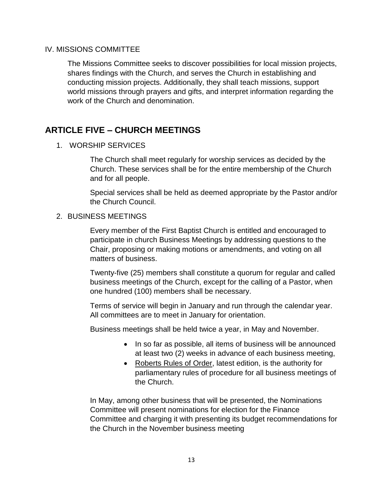#### IV. MISSIONS COMMITTEE

The Missions Committee seeks to discover possibilities for local mission projects, shares findings with the Church, and serves the Church in establishing and conducting mission projects. Additionally, they shall teach missions, support world missions through prayers and gifts, and interpret information regarding the work of the Church and denomination.

# **ARTICLE FIVE – CHURCH MEETINGS**

1. WORSHIP SERVICES

The Church shall meet regularly for worship services as decided by the Church. These services shall be for the entire membership of the Church and for all people.

Special services shall be held as deemed appropriate by the Pastor and/or the Church Council.

#### 2. BUSINESS MEETINGS

Every member of the First Baptist Church is entitled and encouraged to participate in church Business Meetings by addressing questions to the Chair, proposing or making motions or amendments, and voting on all matters of business.

Twenty-five (25) members shall constitute a quorum for regular and called business meetings of the Church, except for the calling of a Pastor, when one hundred (100) members shall be necessary.

Terms of service will begin in January and run through the calendar year. All committees are to meet in January for orientation.

Business meetings shall be held twice a year, in May and November.

- In so far as possible, all items of business will be announced at least two (2) weeks in advance of each business meeting,
- Roberts Rules of Order, latest edition, is the authority for parliamentary rules of procedure for all business meetings of the Church.

In May, among other business that will be presented, the Nominations Committee will present nominations for election for the Finance Committee and charging it with presenting its budget recommendations for the Church in the November business meeting